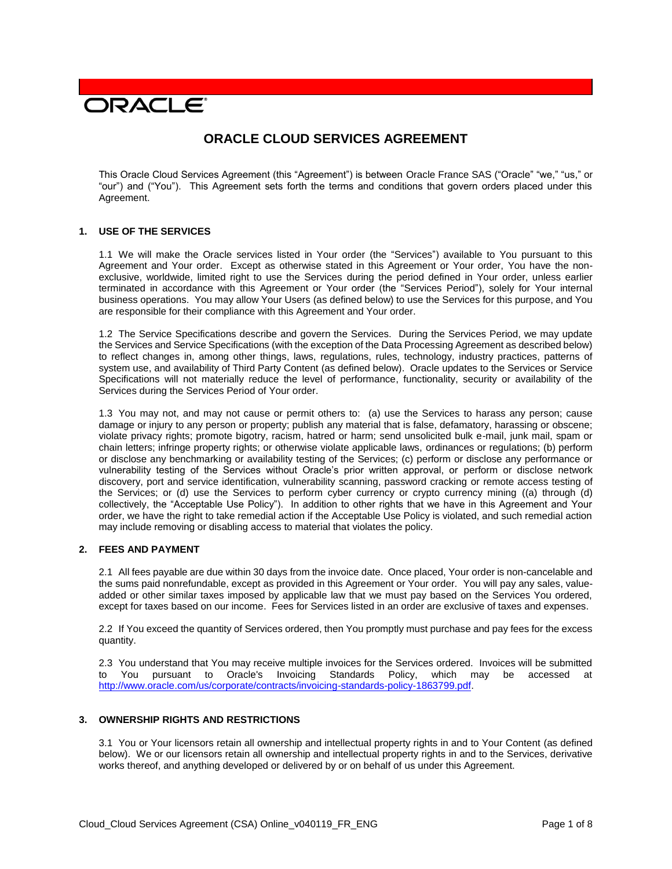# **DRACLE**

# **ORACLE CLOUD SERVICES AGREEMENT**

This Oracle Cloud Services Agreement (this "Agreement") is between Oracle France SAS ("Oracle" "we," "us," or "our") and ("You"). This Agreement sets forth the terms and conditions that govern orders placed under this Agreement.

#### **1. USE OF THE SERVICES**

1.1 We will make the Oracle services listed in Your order (the "Services") available to You pursuant to this Agreement and Your order. Except as otherwise stated in this Agreement or Your order, You have the nonexclusive, worldwide, limited right to use the Services during the period defined in Your order, unless earlier terminated in accordance with this Agreement or Your order (the "Services Period"), solely for Your internal business operations. You may allow Your Users (as defined below) to use the Services for this purpose, and You are responsible for their compliance with this Agreement and Your order.

1.2 The Service Specifications describe and govern the Services. During the Services Period, we may update the Services and Service Specifications (with the exception of the Data Processing Agreement as described below) to reflect changes in, among other things, laws, regulations, rules, technology, industry practices, patterns of system use, and availability of Third Party Content (as defined below). Oracle updates to the Services or Service Specifications will not materially reduce the level of performance, functionality, security or availability of the Services during the Services Period of Your order.

1.3 You may not, and may not cause or permit others to: (a) use the Services to harass any person; cause damage or injury to any person or property; publish any material that is false, defamatory, harassing or obscene; violate privacy rights; promote bigotry, racism, hatred or harm; send unsolicited bulk e-mail, junk mail, spam or chain letters; infringe property rights; or otherwise violate applicable laws, ordinances or regulations; (b) perform or disclose any benchmarking or availability testing of the Services; (c) perform or disclose any performance or vulnerability testing of the Services without Oracle's prior written approval, or perform or disclose network discovery, port and service identification, vulnerability scanning, password cracking or remote access testing of the Services; or (d) use the Services to perform cyber currency or crypto currency mining ((a) through (d) collectively, the "Acceptable Use Policy"). In addition to other rights that we have in this Agreement and Your order, we have the right to take remedial action if the Acceptable Use Policy is violated, and such remedial action may include removing or disabling access to material that violates the policy.

# **2. FEES AND PAYMENT**

2.1 All fees payable are due within 30 days from the invoice date. Once placed, Your order is non-cancelable and the sums paid nonrefundable, except as provided in this Agreement or Your order. You will pay any sales, valueadded or other similar taxes imposed by applicable law that we must pay based on the Services You ordered, except for taxes based on our income. Fees for Services listed in an order are exclusive of taxes and expenses.

2.2 If You exceed the quantity of Services ordered, then You promptly must purchase and pay fees for the excess quantity.

2.3 You understand that You may receive multiple invoices for the Services ordered. Invoices will be submitted to You pursuant to Oracle's Invoicing Standards Policy, which may be accessed at [http://www.oracle.com/us/corporate/contracts/invoicing-standards-policy-1863799.pdf.](http://www.oracle.com/us/corporate/contracts/invoicing-standards-policy-1863799.pdf)

#### **3. OWNERSHIP RIGHTS AND RESTRICTIONS**

3.1 You or Your licensors retain all ownership and intellectual property rights in and to Your Content (as defined below). We or our licensors retain all ownership and intellectual property rights in and to the Services, derivative works thereof, and anything developed or delivered by or on behalf of us under this Agreement.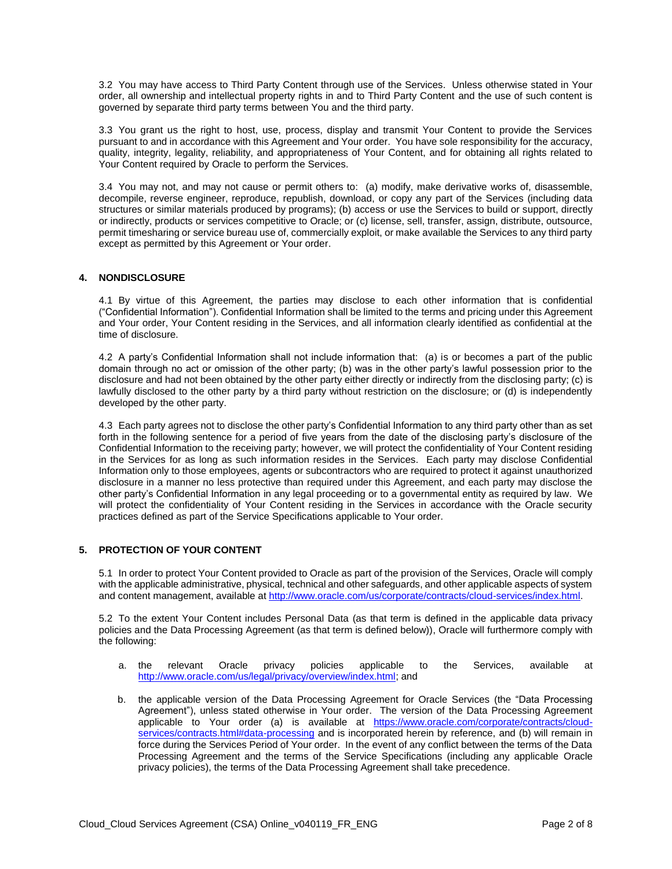3.2 You may have access to Third Party Content through use of the Services. Unless otherwise stated in Your order, all ownership and intellectual property rights in and to Third Party Content and the use of such content is governed by separate third party terms between You and the third party.

3.3 You grant us the right to host, use, process, display and transmit Your Content to provide the Services pursuant to and in accordance with this Agreement and Your order. You have sole responsibility for the accuracy, quality, integrity, legality, reliability, and appropriateness of Your Content, and for obtaining all rights related to Your Content required by Oracle to perform the Services.

3.4 You may not, and may not cause or permit others to: (a) modify, make derivative works of, disassemble, decompile, reverse engineer, reproduce, republish, download, or copy any part of the Services (including data structures or similar materials produced by programs); (b) access or use the Services to build or support, directly or indirectly, products or services competitive to Oracle; or (c) license, sell, transfer, assign, distribute, outsource, permit timesharing or service bureau use of, commercially exploit, or make available the Services to any third party except as permitted by this Agreement or Your order.

# **4. NONDISCLOSURE**

4.1 By virtue of this Agreement, the parties may disclose to each other information that is confidential ("Confidential Information"). Confidential Information shall be limited to the terms and pricing under this Agreement and Your order, Your Content residing in the Services, and all information clearly identified as confidential at the time of disclosure.

4.2 A party's Confidential Information shall not include information that: (a) is or becomes a part of the public domain through no act or omission of the other party; (b) was in the other party's lawful possession prior to the disclosure and had not been obtained by the other party either directly or indirectly from the disclosing party; (c) is lawfully disclosed to the other party by a third party without restriction on the disclosure; or (d) is independently developed by the other party.

4.3 Each party agrees not to disclose the other party's Confidential Information to any third party other than as set forth in the following sentence for a period of five years from the date of the disclosing party's disclosure of the Confidential Information to the receiving party; however, we will protect the confidentiality of Your Content residing in the Services for as long as such information resides in the Services. Each party may disclose Confidential Information only to those employees, agents or subcontractors who are required to protect it against unauthorized disclosure in a manner no less protective than required under this Agreement, and each party may disclose the other party's Confidential Information in any legal proceeding or to a governmental entity as required by law. We will protect the confidentiality of Your Content residing in the Services in accordance with the Oracle security practices defined as part of the Service Specifications applicable to Your order.

# **5. PROTECTION OF YOUR CONTENT**

5.1 In order to protect Your Content provided to Oracle as part of the provision of the Services, Oracle will comply with the applicable administrative, physical, technical and other safeguards, and other applicable aspects of system and content management, available at [http://www.oracle.com/us/corporate/contracts/cloud-services/index.html.](http://www.oracle.com/us/corporate/contracts/cloud-services/index.html)

5.2 To the extent Your Content includes Personal Data (as that term is defined in the applicable data privacy policies and the Data Processing Agreement (as that term is defined below)), Oracle will furthermore comply with the following:

- a. the relevant Oracle privacy policies applicable to the Services, available at [http://www.oracle.com/us/legal/privacy/overview/index.html;](http://www.oracle.com/us/legal/privacy/overview/index.html) and
- b. the applicable version of the Data Processing Agreement for Oracle Services (the "Data Processing Agreement"), unless stated otherwise in Your order. The version of the Data Processing Agreement applicable to Your order (a) is available at [https://www.oracle.com/corporate/contracts/cloud](https://www.oracle.com/corporate/contracts/cloud-services/contracts.html#data-processing)[services/contracts.html#data-processing](https://www.oracle.com/corporate/contracts/cloud-services/contracts.html#data-processing) and is incorporated herein by reference, and (b) will remain in force during the Services Period of Your order. In the event of any conflict between the terms of the Data Processing Agreement and the terms of the Service Specifications (including any applicable Oracle privacy policies), the terms of the Data Processing Agreement shall take precedence.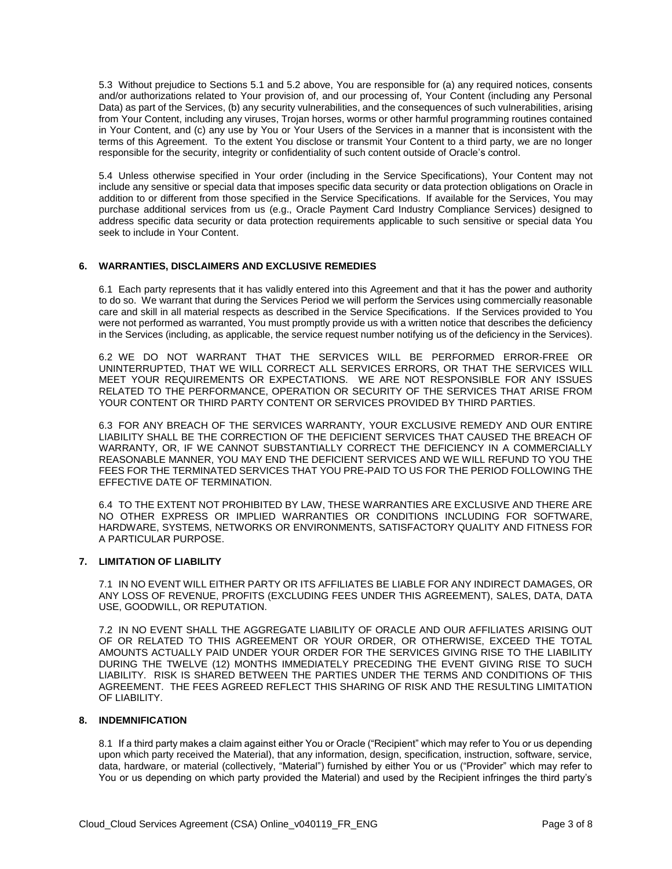5.3 Without prejudice to Sections 5.1 and 5.2 above, You are responsible for (a) any required notices, consents and/or authorizations related to Your provision of, and our processing of, Your Content (including any Personal Data) as part of the Services, (b) any security vulnerabilities, and the consequences of such vulnerabilities, arising from Your Content, including any viruses, Trojan horses, worms or other harmful programming routines contained in Your Content, and (c) any use by You or Your Users of the Services in a manner that is inconsistent with the terms of this Agreement. To the extent You disclose or transmit Your Content to a third party, we are no longer responsible for the security, integrity or confidentiality of such content outside of Oracle's control.

5.4 Unless otherwise specified in Your order (including in the Service Specifications), Your Content may not include any sensitive or special data that imposes specific data security or data protection obligations on Oracle in addition to or different from those specified in the Service Specifications. If available for the Services, You may purchase additional services from us (e.g., Oracle Payment Card Industry Compliance Services) designed to address specific data security or data protection requirements applicable to such sensitive or special data You seek to include in Your Content.

#### **6. WARRANTIES, DISCLAIMERS AND EXCLUSIVE REMEDIES**

6.1 Each party represents that it has validly entered into this Agreement and that it has the power and authority to do so. We warrant that during the Services Period we will perform the Services using commercially reasonable care and skill in all material respects as described in the Service Specifications. If the Services provided to You were not performed as warranted, You must promptly provide us with a written notice that describes the deficiency in the Services (including, as applicable, the service request number notifying us of the deficiency in the Services).

6.2 WE DO NOT WARRANT THAT THE SERVICES WILL BE PERFORMED ERROR-FREE OR UNINTERRUPTED, THAT WE WILL CORRECT ALL SERVICES ERRORS, OR THAT THE SERVICES WILL MEET YOUR REQUIREMENTS OR EXPECTATIONS. WE ARE NOT RESPONSIBLE FOR ANY ISSUES RELATED TO THE PERFORMANCE, OPERATION OR SECURITY OF THE SERVICES THAT ARISE FROM YOUR CONTENT OR THIRD PARTY CONTENT OR SERVICES PROVIDED BY THIRD PARTIES.

6.3 FOR ANY BREACH OF THE SERVICES WARRANTY, YOUR EXCLUSIVE REMEDY AND OUR ENTIRE LIABILITY SHALL BE THE CORRECTION OF THE DEFICIENT SERVICES THAT CAUSED THE BREACH OF WARRANTY, OR, IF WE CANNOT SUBSTANTIALLY CORRECT THE DEFICIENCY IN A COMMERCIALLY REASONABLE MANNER, YOU MAY END THE DEFICIENT SERVICES AND WE WILL REFUND TO YOU THE FEES FOR THE TERMINATED SERVICES THAT YOU PRE-PAID TO US FOR THE PERIOD FOLLOWING THE EFFECTIVE DATE OF TERMINATION.

6.4 TO THE EXTENT NOT PROHIBITED BY LAW, THESE WARRANTIES ARE EXCLUSIVE AND THERE ARE NO OTHER EXPRESS OR IMPLIED WARRANTIES OR CONDITIONS INCLUDING FOR SOFTWARE, HARDWARE, SYSTEMS, NETWORKS OR ENVIRONMENTS, SATISFACTORY QUALITY AND FITNESS FOR A PARTICULAR PURPOSE.

# **7. LIMITATION OF LIABILITY**

7.1 IN NO EVENT WILL EITHER PARTY OR ITS AFFILIATES BE LIABLE FOR ANY INDIRECT DAMAGES, OR ANY LOSS OF REVENUE, PROFITS (EXCLUDING FEES UNDER THIS AGREEMENT), SALES, DATA, DATA USE, GOODWILL, OR REPUTATION.

7.2 IN NO EVENT SHALL THE AGGREGATE LIABILITY OF ORACLE AND OUR AFFILIATES ARISING OUT OF OR RELATED TO THIS AGREEMENT OR YOUR ORDER, OR OTHERWISE, EXCEED THE TOTAL AMOUNTS ACTUALLY PAID UNDER YOUR ORDER FOR THE SERVICES GIVING RISE TO THE LIABILITY DURING THE TWELVE (12) MONTHS IMMEDIATELY PRECEDING THE EVENT GIVING RISE TO SUCH LIABILITY. RISK IS SHARED BETWEEN THE PARTIES UNDER THE TERMS AND CONDITIONS OF THIS AGREEMENT. THE FEES AGREED REFLECT THIS SHARING OF RISK AND THE RESULTING LIMITATION OF LIABILITY.

# **8. INDEMNIFICATION**

8.1 If a third party makes a claim against either You or Oracle ("Recipient" which may refer to You or us depending upon which party received the Material), that any information, design, specification, instruction, software, service, data, hardware, or material (collectively, "Material") furnished by either You or us ("Provider" which may refer to You or us depending on which party provided the Material) and used by the Recipient infringes the third party's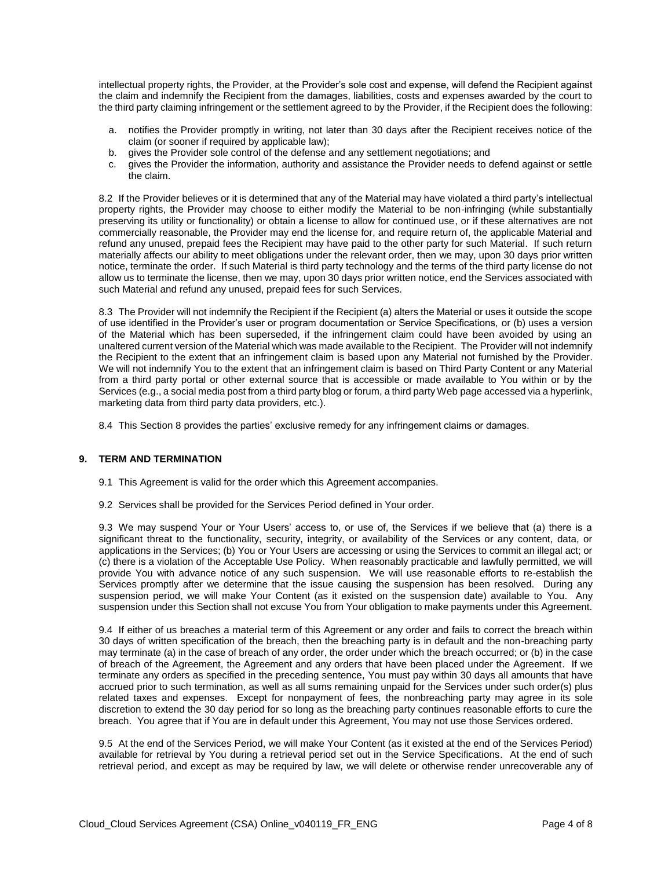intellectual property rights, the Provider, at the Provider's sole cost and expense, will defend the Recipient against the claim and indemnify the Recipient from the damages, liabilities, costs and expenses awarded by the court to the third party claiming infringement or the settlement agreed to by the Provider, if the Recipient does the following:

- a. notifies the Provider promptly in writing, not later than 30 days after the Recipient receives notice of the claim (or sooner if required by applicable law);
- b. gives the Provider sole control of the defense and any settlement negotiations; and
- c. gives the Provider the information, authority and assistance the Provider needs to defend against or settle the claim.

8.2 If the Provider believes or it is determined that any of the Material may have violated a third party's intellectual property rights, the Provider may choose to either modify the Material to be non-infringing (while substantially preserving its utility or functionality) or obtain a license to allow for continued use, or if these alternatives are not commercially reasonable, the Provider may end the license for, and require return of, the applicable Material and refund any unused, prepaid fees the Recipient may have paid to the other party for such Material. If such return materially affects our ability to meet obligations under the relevant order, then we may, upon 30 days prior written notice, terminate the order. If such Material is third party technology and the terms of the third party license do not allow us to terminate the license, then we may, upon 30 days prior written notice, end the Services associated with such Material and refund any unused, prepaid fees for such Services.

8.3 The Provider will not indemnify the Recipient if the Recipient (a) alters the Material or uses it outside the scope of use identified in the Provider's user or program documentation or Service Specifications, or (b) uses a version of the Material which has been superseded, if the infringement claim could have been avoided by using an unaltered current version of the Material which was made available to the Recipient. The Provider will not indemnify the Recipient to the extent that an infringement claim is based upon any Material not furnished by the Provider. We will not indemnify You to the extent that an infringement claim is based on Third Party Content or any Material from a third party portal or other external source that is accessible or made available to You within or by the Services (e.g., a social media post from a third party blog or forum, a third party Web page accessed via a hyperlink, marketing data from third party data providers, etc.).

8.4 This Section 8 provides the parties' exclusive remedy for any infringement claims or damages.

## **9. TERM AND TERMINATION**

- 9.1 This Agreement is valid for the order which this Agreement accompanies.
- 9.2 Services shall be provided for the Services Period defined in Your order.

9.3 We may suspend Your or Your Users' access to, or use of, the Services if we believe that (a) there is a significant threat to the functionality, security, integrity, or availability of the Services or any content, data, or applications in the Services; (b) You or Your Users are accessing or using the Services to commit an illegal act; or (c) there is a violation of the Acceptable Use Policy. When reasonably practicable and lawfully permitted, we will provide You with advance notice of any such suspension. We will use reasonable efforts to re-establish the Services promptly after we determine that the issue causing the suspension has been resolved. During any suspension period, we will make Your Content (as it existed on the suspension date) available to You. Any suspension under this Section shall not excuse You from Your obligation to make payments under this Agreement.

9.4 If either of us breaches a material term of this Agreement or any order and fails to correct the breach within 30 days of written specification of the breach, then the breaching party is in default and the non-breaching party may terminate (a) in the case of breach of any order, the order under which the breach occurred; or (b) in the case of breach of the Agreement, the Agreement and any orders that have been placed under the Agreement. If we terminate any orders as specified in the preceding sentence, You must pay within 30 days all amounts that have accrued prior to such termination, as well as all sums remaining unpaid for the Services under such order(s) plus related taxes and expenses. Except for nonpayment of fees, the nonbreaching party may agree in its sole discretion to extend the 30 day period for so long as the breaching party continues reasonable efforts to cure the breach. You agree that if You are in default under this Agreement, You may not use those Services ordered.

9.5 At the end of the Services Period, we will make Your Content (as it existed at the end of the Services Period) available for retrieval by You during a retrieval period set out in the Service Specifications. At the end of such retrieval period, and except as may be required by law, we will delete or otherwise render unrecoverable any of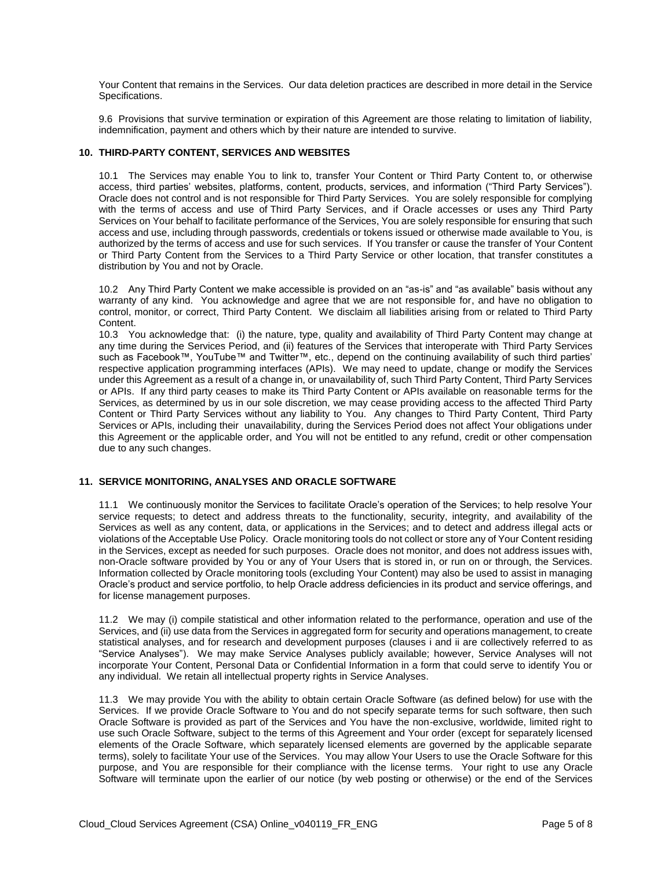Your Content that remains in the Services. Our data deletion practices are described in more detail in the Service Specifications.

9.6 Provisions that survive termination or expiration of this Agreement are those relating to limitation of liability, indemnification, payment and others which by their nature are intended to survive.

#### **10. THIRD-PARTY CONTENT, SERVICES AND WEBSITES**

10.1 The Services may enable You to link to, transfer Your Content or Third Party Content to, or otherwise access, third parties' websites, platforms, content, products, services, and information ("Third Party Services"). Oracle does not control and is not responsible for Third Party Services. You are solely responsible for complying with the terms of access and use of Third Party Services, and if Oracle accesses or uses any Third Party Services on Your behalf to facilitate performance of the Services, You are solely responsible for ensuring that such access and use, including through passwords, credentials or tokens issued or otherwise made available to You, is authorized by the terms of access and use for such services. If You transfer or cause the transfer of Your Content or Third Party Content from the Services to a Third Party Service or other location, that transfer constitutes a distribution by You and not by Oracle.

10.2 Any Third Party Content we make accessible is provided on an "as-is" and "as available" basis without any warranty of any kind. You acknowledge and agree that we are not responsible for, and have no obligation to control, monitor, or correct, Third Party Content. We disclaim all liabilities arising from or related to Third Party Content.

10.3 You acknowledge that: (i) the nature, type, quality and availability of Third Party Content may change at any time during the Services Period, and (ii) features of the Services that interoperate with Third Party Services such as Facebook™, YouTube™ and Twitter™, etc., depend on the continuing availability of such third parties' respective application programming interfaces (APIs). We may need to update, change or modify the Services under this Agreement as a result of a change in, or unavailability of, such Third Party Content, Third Party Services or APIs. If any third party ceases to make its Third Party Content or APIs available on reasonable terms for the Services, as determined by us in our sole discretion, we may cease providing access to the affected Third Party Content or Third Party Services without any liability to You. Any changes to Third Party Content, Third Party Services or APIs, including their unavailability, during the Services Period does not affect Your obligations under this Agreement or the applicable order, and You will not be entitled to any refund, credit or other compensation due to any such changes.

#### **11. SERVICE MONITORING, ANALYSES AND ORACLE SOFTWARE**

11.1 We continuously monitor the Services to facilitate Oracle's operation of the Services; to help resolve Your service requests; to detect and address threats to the functionality, security, integrity, and availability of the Services as well as any content, data, or applications in the Services; and to detect and address illegal acts or violations of the Acceptable Use Policy. Oracle monitoring tools do not collect or store any of Your Content residing in the Services, except as needed for such purposes. Oracle does not monitor, and does not address issues with, non-Oracle software provided by You or any of Your Users that is stored in, or run on or through, the Services. Information collected by Oracle monitoring tools (excluding Your Content) may also be used to assist in managing Oracle's product and service portfolio, to help Oracle address deficiencies in its product and service offerings, and for license management purposes.

11.2 We may (i) compile statistical and other information related to the performance, operation and use of the Services, and (ii) use data from the Services in aggregated form for security and operations management, to create statistical analyses, and for research and development purposes (clauses i and ii are collectively referred to as "Service Analyses"). We may make Service Analyses publicly available; however, Service Analyses will not incorporate Your Content, Personal Data or Confidential Information in a form that could serve to identify You or any individual. We retain all intellectual property rights in Service Analyses.

11.3 We may provide You with the ability to obtain certain Oracle Software (as defined below) for use with the Services. If we provide Oracle Software to You and do not specify separate terms for such software, then such Oracle Software is provided as part of the Services and You have the non-exclusive, worldwide, limited right to use such Oracle Software, subject to the terms of this Agreement and Your order (except for separately licensed elements of the Oracle Software, which separately licensed elements are governed by the applicable separate terms), solely to facilitate Your use of the Services. You may allow Your Users to use the Oracle Software for this purpose, and You are responsible for their compliance with the license terms. Your right to use any Oracle Software will terminate upon the earlier of our notice (by web posting or otherwise) or the end of the Services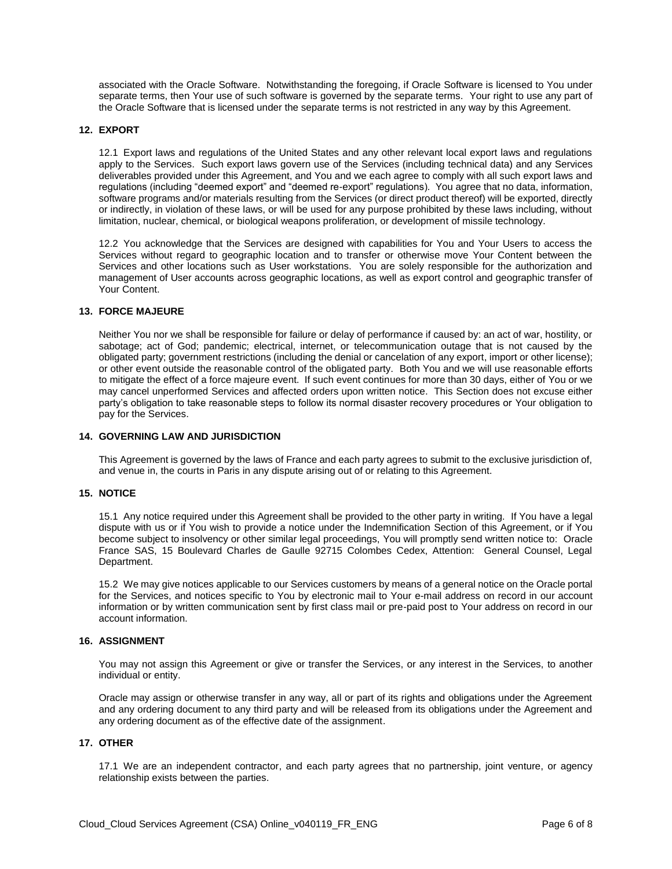associated with the Oracle Software. Notwithstanding the foregoing, if Oracle Software is licensed to You under separate terms, then Your use of such software is governed by the separate terms. Your right to use any part of the Oracle Software that is licensed under the separate terms is not restricted in any way by this Agreement.

#### **12. EXPORT**

12.1 Export laws and regulations of the United States and any other relevant local export laws and regulations apply to the Services. Such export laws govern use of the Services (including technical data) and any Services deliverables provided under this Agreement, and You and we each agree to comply with all such export laws and regulations (including "deemed export" and "deemed re-export" regulations). You agree that no data, information, software programs and/or materials resulting from the Services (or direct product thereof) will be exported, directly or indirectly, in violation of these laws, or will be used for any purpose prohibited by these laws including, without limitation, nuclear, chemical, or biological weapons proliferation, or development of missile technology.

12.2 You acknowledge that the Services are designed with capabilities for You and Your Users to access the Services without regard to geographic location and to transfer or otherwise move Your Content between the Services and other locations such as User workstations. You are solely responsible for the authorization and management of User accounts across geographic locations, as well as export control and geographic transfer of Your Content.

#### **13. FORCE MAJEURE**

Neither You nor we shall be responsible for failure or delay of performance if caused by: an act of war, hostility, or sabotage; act of God; pandemic; electrical, internet, or telecommunication outage that is not caused by the obligated party; government restrictions (including the denial or cancelation of any export, import or other license); or other event outside the reasonable control of the obligated party. Both You and we will use reasonable efforts to mitigate the effect of a force majeure event. If such event continues for more than 30 days, either of You or we may cancel unperformed Services and affected orders upon written notice. This Section does not excuse either party's obligation to take reasonable steps to follow its normal disaster recovery procedures or Your obligation to pay for the Services.

#### **14. GOVERNING LAW AND JURISDICTION**

This Agreement is governed by the laws of France and each party agrees to submit to the exclusive jurisdiction of, and venue in, the courts in Paris in any dispute arising out of or relating to this Agreement.

#### **15. NOTICE**

15.1 Any notice required under this Agreement shall be provided to the other party in writing. If You have a legal dispute with us or if You wish to provide a notice under the Indemnification Section of this Agreement, or if You become subject to insolvency or other similar legal proceedings, You will promptly send written notice to: Oracle France SAS, 15 Boulevard Charles de Gaulle 92715 Colombes Cedex, Attention: General Counsel, Legal Department.

15.2 We may give notices applicable to our Services customers by means of a general notice on the Oracle portal for the Services, and notices specific to You by electronic mail to Your e-mail address on record in our account information or by written communication sent by first class mail or pre-paid post to Your address on record in our account information.

#### **16. ASSIGNMENT**

You may not assign this Agreement or give or transfer the Services, or any interest in the Services, to another individual or entity.

Oracle may assign or otherwise transfer in any way, all or part of its rights and obligations under the Agreement and any ordering document to any third party and will be released from its obligations under the Agreement and any ordering document as of the effective date of the assignment.

### **17. OTHER**

17.1 We are an independent contractor, and each party agrees that no partnership, joint venture, or agency relationship exists between the parties.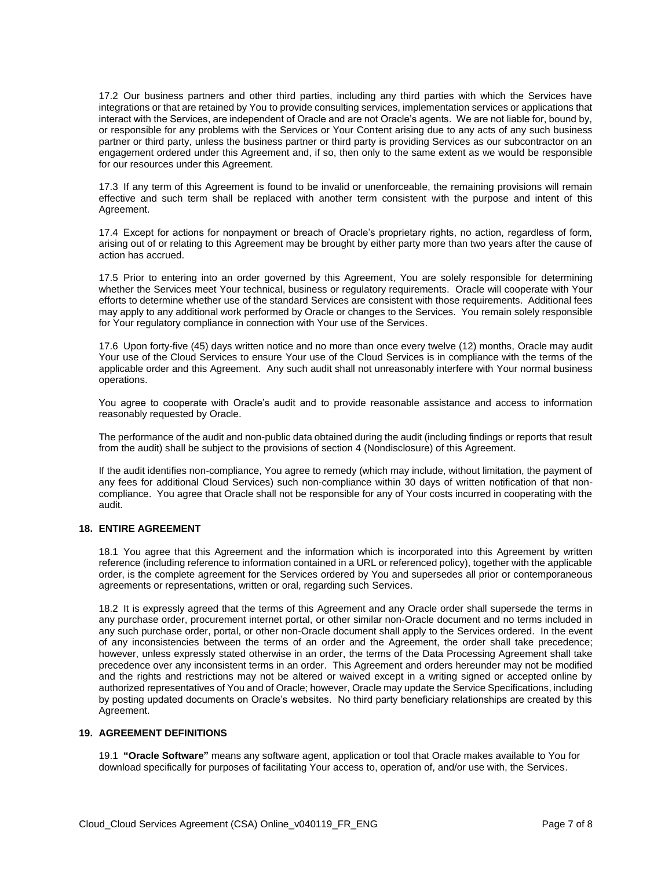17.2 Our business partners and other third parties, including any third parties with which the Services have integrations or that are retained by You to provide consulting services, implementation services or applications that interact with the Services, are independent of Oracle and are not Oracle's agents. We are not liable for, bound by, or responsible for any problems with the Services or Your Content arising due to any acts of any such business partner or third party, unless the business partner or third party is providing Services as our subcontractor on an engagement ordered under this Agreement and, if so, then only to the same extent as we would be responsible for our resources under this Agreement.

17.3 If any term of this Agreement is found to be invalid or unenforceable, the remaining provisions will remain effective and such term shall be replaced with another term consistent with the purpose and intent of this Agreement.

17.4 Except for actions for nonpayment or breach of Oracle's proprietary rights, no action, regardless of form, arising out of or relating to this Agreement may be brought by either party more than two years after the cause of action has accrued.

17.5 Prior to entering into an order governed by this Agreement, You are solely responsible for determining whether the Services meet Your technical, business or regulatory requirements. Oracle will cooperate with Your efforts to determine whether use of the standard Services are consistent with those requirements. Additional fees may apply to any additional work performed by Oracle or changes to the Services. You remain solely responsible for Your regulatory compliance in connection with Your use of the Services.

17.6 Upon forty-five (45) days written notice and no more than once every twelve (12) months, Oracle may audit Your use of the Cloud Services to ensure Your use of the Cloud Services is in compliance with the terms of the applicable order and this Agreement. Any such audit shall not unreasonably interfere with Your normal business operations.

You agree to cooperate with Oracle's audit and to provide reasonable assistance and access to information reasonably requested by Oracle.

The performance of the audit and non-public data obtained during the audit (including findings or reports that result from the audit) shall be subject to the provisions of section 4 (Nondisclosure) of this Agreement.

If the audit identifies non-compliance, You agree to remedy (which may include, without limitation, the payment of any fees for additional Cloud Services) such non-compliance within 30 days of written notification of that noncompliance. You agree that Oracle shall not be responsible for any of Your costs incurred in cooperating with the audit.

# **18. ENTIRE AGREEMENT**

18.1 You agree that this Agreement and the information which is incorporated into this Agreement by written reference (including reference to information contained in a URL or referenced policy), together with the applicable order, is the complete agreement for the Services ordered by You and supersedes all prior or contemporaneous agreements or representations, written or oral, regarding such Services.

18.2 It is expressly agreed that the terms of this Agreement and any Oracle order shall supersede the terms in any purchase order, procurement internet portal, or other similar non-Oracle document and no terms included in any such purchase order, portal, or other non-Oracle document shall apply to the Services ordered. In the event of any inconsistencies between the terms of an order and the Agreement, the order shall take precedence; however, unless expressly stated otherwise in an order, the terms of the Data Processing Agreement shall take precedence over any inconsistent terms in an order. This Agreement and orders hereunder may not be modified and the rights and restrictions may not be altered or waived except in a writing signed or accepted online by authorized representatives of You and of Oracle; however, Oracle may update the Service Specifications, including by posting updated documents on Oracle's websites. No third party beneficiary relationships are created by this Agreement.

#### **19. AGREEMENT DEFINITIONS**

19.1 **"Oracle Software"** means any software agent, application or tool that Oracle makes available to You for download specifically for purposes of facilitating Your access to, operation of, and/or use with, the Services.